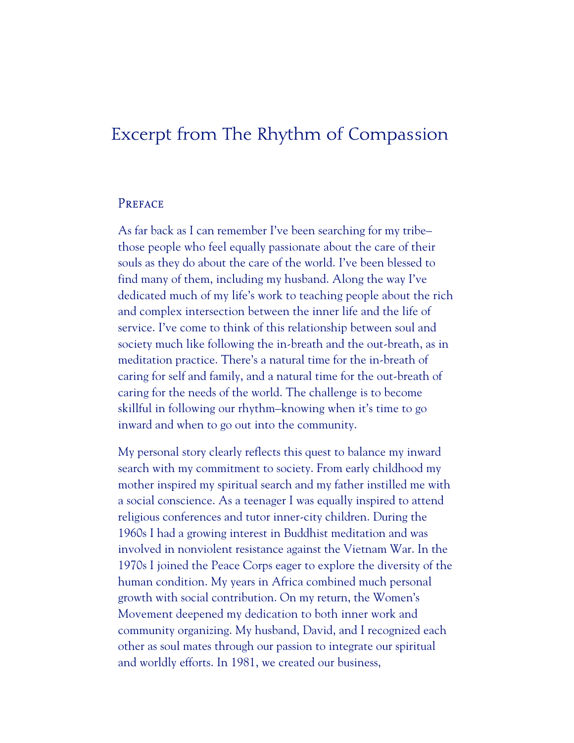## **Excerpt from The Rhythm of Compassion**

## **PREFACE**

As far back as I can remember I've been searching for my tribe– those people who feel equally passionate about the care of their souls as they do about the care of the world. I've been blessed to find many of them, including my husband. Along the way I've dedicated much of my life's work to teaching people about the rich and complex intersection between the inner life and the life of service. I've come to think of this relationship between soul and society much like following the in-breath and the out-breath, as in meditation practice. There's a natural time for the in-breath of caring for self and family, and a natural time for the out-breath of caring for the needs of the world. The challenge is to become skillful in following our rhythm–knowing when it's time to go inward and when to go out into the community.

My personal story clearly reflects this quest to balance my inward search with my commitment to society. From early childhood my mother inspired my spiritual search and my father instilled me with a social conscience. As a teenager I was equally inspired to attend religious conferences and tutor inner-city children. During the 1960s I had a growing interest in Buddhist meditation and was involved in nonviolent resistance against the Vietnam War. In the 1970s I joined the Peace Corps eager to explore the diversity of the human condition. My years in Africa combined much personal growth with social contribution. On my return, the Women's Movement deepened my dedication to both inner work and community organizing. My husband, David, and I recognized each other as soul mates through our passion to integrate our spiritual and worldly efforts. In 1981, we created our business,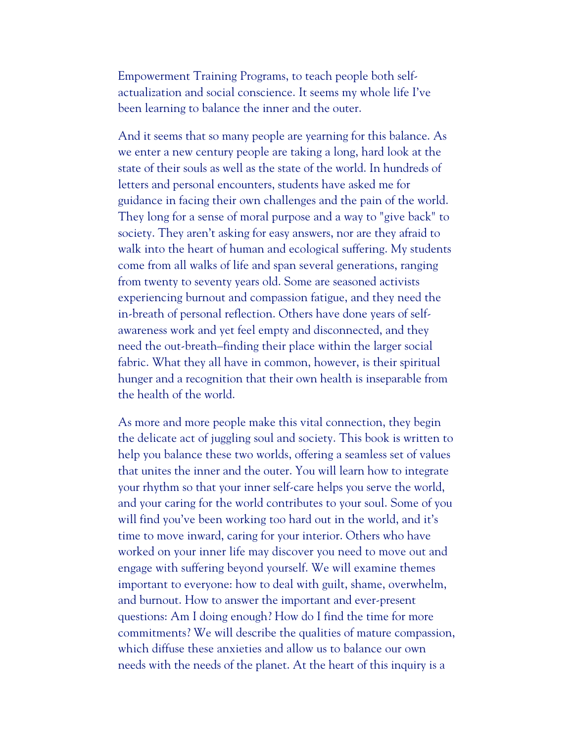Empowerment Training Programs, to teach people both selfactualization and social conscience. It seems my whole life I've been learning to balance the inner and the outer.

And it seems that so many people are yearning for this balance. As we enter a new century people are taking a long, hard look at the state of their souls as well as the state of the world. In hundreds of letters and personal encounters, students have asked me for guidance in facing their own challenges and the pain of the world. They long for a sense of moral purpose and a way to "give back" to society. They aren't asking for easy answers, nor are they afraid to walk into the heart of human and ecological suffering. My students come from all walks of life and span several generations, ranging from twenty to seventy years old. Some are seasoned activists experiencing burnout and compassion fatigue, and they need the in-breath of personal reflection. Others have done years of selfawareness work and yet feel empty and disconnected, and they need the out-breath–finding their place within the larger social fabric. What they all have in common, however, is their spiritual hunger and a recognition that their own health is inseparable from the health of the world.

As more and more people make this vital connection, they begin the delicate act of juggling soul and society. This book is written to help you balance these two worlds, offering a seamless set of values that unites the inner and the outer. You will learn how to integrate your rhythm so that your inner self-care helps you serve the world, and your caring for the world contributes to your soul. Some of you will find you've been working too hard out in the world, and it's time to move inward, caring for your interior. Others who have worked on your inner life may discover you need to move out and engage with suffering beyond yourself. We will examine themes important to everyone: how to deal with guilt, shame, overwhelm, and burnout. How to answer the important and ever-present questions: Am I doing enough? How do I find the time for more commitments? We will describe the qualities of mature compassion, which diffuse these anxieties and allow us to balance our own needs with the needs of the planet. At the heart of this inquiry is a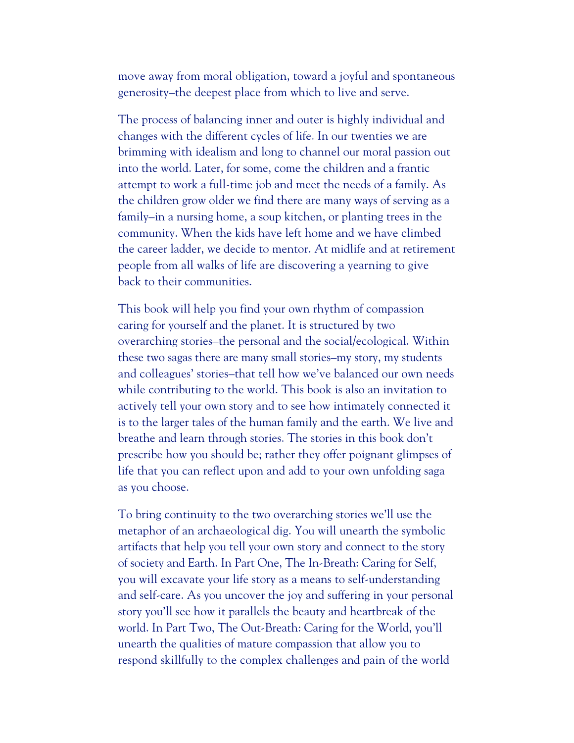move away from moral obligation, toward a joyful and spontaneous generosity–the deepest place from which to live and serve.

The process of balancing inner and outer is highly individual and changes with the different cycles of life. In our twenties we are brimming with idealism and long to channel our moral passion out into the world. Later, for some, come the children and a frantic attempt to work a full-time job and meet the needs of a family. As the children grow older we find there are many ways of serving as a family–in a nursing home, a soup kitchen, or planting trees in the community. When the kids have left home and we have climbed the career ladder, we decide to mentor. At midlife and at retirement people from all walks of life are discovering a yearning to give back to their communities.

This book will help you find your own rhythm of compassion caring for yourself and the planet. It is structured by two overarching stories–the personal and the social/ecological. Within these two sagas there are many small stories–my story, my students and colleagues' stories–that tell how we've balanced our own needs while contributing to the world. This book is also an invitation to actively tell your own story and to see how intimately connected it is to the larger tales of the human family and the earth. We live and breathe and learn through stories. The stories in this book don't prescribe how you should be; rather they offer poignant glimpses of life that you can reflect upon and add to your own unfolding saga as you choose.

To bring continuity to the two overarching stories we'll use the metaphor of an archaeological dig. You will unearth the symbolic artifacts that help you tell your own story and connect to the story of society and Earth. In Part One, The In-Breath: Caring for Self, you will excavate your life story as a means to self-understanding and self-care. As you uncover the joy and suffering in your personal story you'll see how it parallels the beauty and heartbreak of the world. In Part Two, The Out-Breath: Caring for the World, you'll unearth the qualities of mature compassion that allow you to respond skillfully to the complex challenges and pain of the world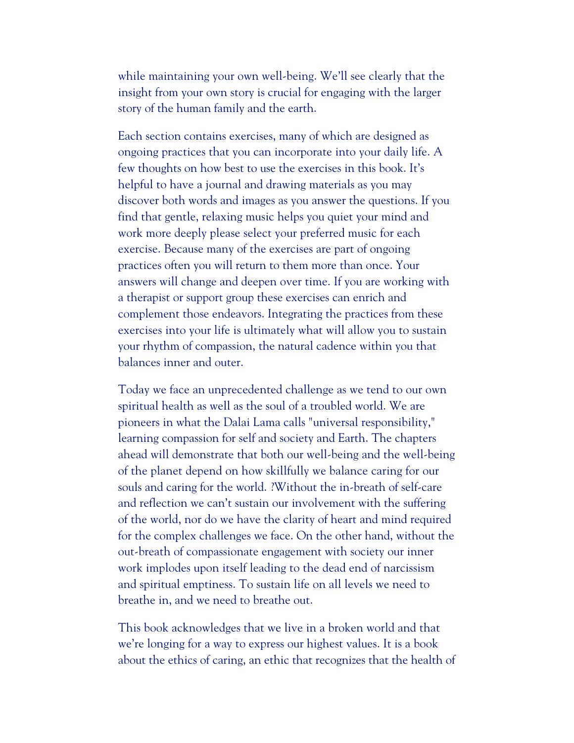while maintaining your own well-being. We'll see clearly that the insight from your own story is crucial for engaging with the larger story of the human family and the earth.

Each section contains exercises, many of which are designed as ongoing practices that you can incorporate into your daily life. A few thoughts on how best to use the exercises in this book. It's helpful to have a journal and drawing materials as you may discover both words and images as you answer the questions. If you find that gentle, relaxing music helps you quiet your mind and work more deeply please select your preferred music for each exercise. Because many of the exercises are part of ongoing practices often you will return to them more than once. Your answers will change and deepen over time. If you are working with a therapist or support group these exercises can enrich and complement those endeavors. Integrating the practices from these exercises into your life is ultimately what will allow you to sustain your rhythm of compassion, the natural cadence within you that balances inner and outer.

Today we face an unprecedented challenge as we tend to our own spiritual health as well as the soul of a troubled world. We are pioneers in what the Dalai Lama calls "universal responsibility," learning compassion for self and society and Earth. The chapters ahead will demonstrate that both our well-being and the well-being of the planet depend on how skillfully we balance caring for our souls and caring for the world. ?Without the in-breath of self-care and reflection we can't sustain our involvement with the suffering of the world, nor do we have the clarity of heart and mind required for the complex challenges we face. On the other hand, without the out-breath of compassionate engagement with society our inner work implodes upon itself leading to the dead end of narcissism and spiritual emptiness. To sustain life on all levels we need to breathe in, and we need to breathe out.

This book acknowledges that we live in a broken world and that we're longing for a way to express our highest values. It is a book about the ethics of caring, an ethic that recognizes that the health of